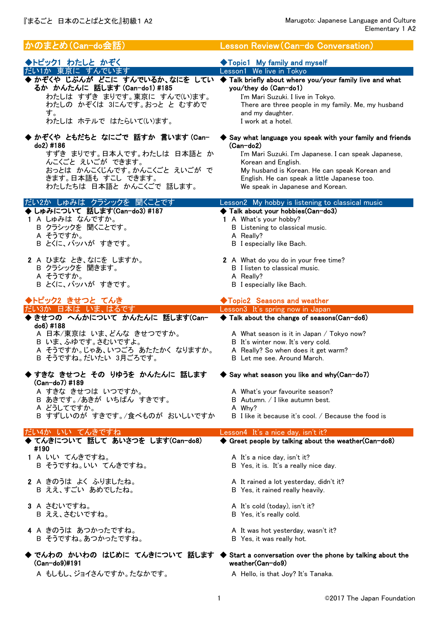| かのまとめ(Can-do会話)                                                                                                                                                                                                                      | Lesson Review (Can-do Conversation)                                                                                                                                                                                                                                                         |
|--------------------------------------------------------------------------------------------------------------------------------------------------------------------------------------------------------------------------------------|---------------------------------------------------------------------------------------------------------------------------------------------------------------------------------------------------------------------------------------------------------------------------------------------|
| ◆トピック1 わたしと かぞく                                                                                                                                                                                                                      | ◆Topic1 My family and myself                                                                                                                                                                                                                                                                |
| だい1か 東京に すんでいます<br>◆ かぞくや じぶんが どこに すんでいるか、なにを してい ◆ Talk briefly about where you/your family live and what<br>るか かんたんに 話します(Can-do1)#185<br>わたしは すずき まりです。東京に すんで(い)ます。<br>わたしの かぞくは 3にんです。おっと と むすめで<br>す。<br>わたしは ホテルで はたらいて(い)ます。 | Lesson1 We live in Tokyo<br>you/they do (Can-do1)<br>I'm Mari Suzuki. I live in Tokyo.<br>There are three people in my family. Me, my husband<br>and my daughter.<br>I work at a hotel.                                                                                                     |
| ◆ かぞくや ともだちと なにごで 話すか 言います (Can-<br>do2) #186<br>すずき まりです。日本人です。わたしは 日本語と か<br>んこくごと えいごが できます。<br>おっとは かんこくじんです。かんこくごと えいごが で<br>きます。日本語も すこし できます。<br>わたしたちは 日本語と かんこくごで 話します。                                                     | Say what language you speak with your family and friends<br>$(Can-do2)$<br>I'm Mari Suzuki. I'm Japanese. I can speak Japanese,<br>Korean and English.<br>My husband is Korean. He can speak Korean and<br>English. He can speak a little Japanese too.<br>We speak in Japanese and Korean. |
| だい2か しゅみは クラシックを 聞くことです                                                                                                                                                                                                              | Lesson2 My hobby is listening to classical music                                                                                                                                                                                                                                            |
| ▶ しゅみについて 話します(Can-do3) #187<br>1 A しゅみは なんですか。<br>B クラシックを 聞くことです。<br>A そうですか。<br>B とくに、バッハが すきです。                                                                                                                                  | ◆ Talk about your hobbies(Can-do3)<br>1 A What's your hobby?<br>B Listening to classical music.<br>A Really?<br><b>B</b> I especially like Bach.                                                                                                                                            |
| 2 A ひまな とき、なにを しますか。                                                                                                                                                                                                                 | 2 A What do you do in your free time?                                                                                                                                                                                                                                                       |
| B クラシックを 聞きます。<br>A そうですか。                                                                                                                                                                                                           | <b>B</b> I listen to classical music.<br>A Really?                                                                                                                                                                                                                                          |
| B とくに、バッハが すきです。                                                                                                                                                                                                                     | <b>B</b> I especially like Bach.                                                                                                                                                                                                                                                            |
| ◆トピック2 きせつと てんき<br>だい3か 日本は いま、はるです                                                                                                                                                                                                  | ◆Topic2 Seasons and weather<br>Lesson3 It's spring now in Japan                                                                                                                                                                                                                             |
|                                                                                                                                                                                                                                      |                                                                                                                                                                                                                                                                                             |
| ◆ きせつの へんかについて かんたんに 話します(Can-                                                                                                                                                                                                       | Talk about the change of seasons(Can-do6)                                                                                                                                                                                                                                                   |
| do6) #188<br>A 日本/東京は いま、どんな きせつですか。<br>B いま、ふゆです。さむいですよ。<br>A そうですか。じゃあ、いつごろ あたたかく なりますか。<br>B そうですね。だいたい 3月ごろです。                                                                                                                   | A What season is it in Japan / Tokyo now?<br>B It's winter now. It's very cold.<br>A Really? So when does it get warm?<br>B Let me see, Around March.                                                                                                                                       |
| ◆ すきな きせつと その りゆうを かんたんに 話します                                                                                                                                                                                                        | Say what season you like and why (Can-do7)                                                                                                                                                                                                                                                  |
| (Can-do7) #189                                                                                                                                                                                                                       |                                                                                                                                                                                                                                                                                             |
| A すきな きせつは いつですか。<br>B あきです。/あきが いちばん すきです。                                                                                                                                                                                          | A What's your favourite season?<br>B Autumn. / I like autumn best.                                                                                                                                                                                                                          |
| A どうしてですか。<br>B すずしいのが すきです。/食べものが おいしいですか                                                                                                                                                                                           | A Why?<br>B I like it because it's cool. / Because the food is                                                                                                                                                                                                                              |
|                                                                                                                                                                                                                                      |                                                                                                                                                                                                                                                                                             |
| だい4か いい てんきですね<br>◆ てんきについて 話して あいさつを します(Can-do8)                                                                                                                                                                                   | Lesson4 It's a nice day, isn't it?<br>♦ Greet people by talking about the weather (Can-do8)                                                                                                                                                                                                 |
| #190                                                                                                                                                                                                                                 |                                                                                                                                                                                                                                                                                             |
| 1 A いい てんきですね。<br>B そうですね。いい てんきですね。                                                                                                                                                                                                 | A It's a nice day, isn't it?<br>B Yes, it is. It's a really nice day.                                                                                                                                                                                                                       |
| 2 A きのうは よく ふりましたね。<br>B ええ、すごい あめでしたね。                                                                                                                                                                                              | A It rained a lot yesterday, didn't it?<br>B Yes, it rained really heavily.                                                                                                                                                                                                                 |
| 3 A さむいですね。<br>B ええ、さむいですね。                                                                                                                                                                                                          | A It's cold (today), isn't it?<br>B Yes, it's really cold.                                                                                                                                                                                                                                  |
| 4 A きのうは あつかったですね。<br>B そうですね。あつかったですね。                                                                                                                                                                                              | A It was hot yesterday, wasn't it?<br>B Yes, it was really hot.                                                                                                                                                                                                                             |
| (Can-do9)#191                                                                                                                                                                                                                        | ◆ でんわの かいわの はじめに てんきについて 話します ◆ Start a conversation over the phone by talking about the<br>weather(Can-do9)                                                                                                                                                                                |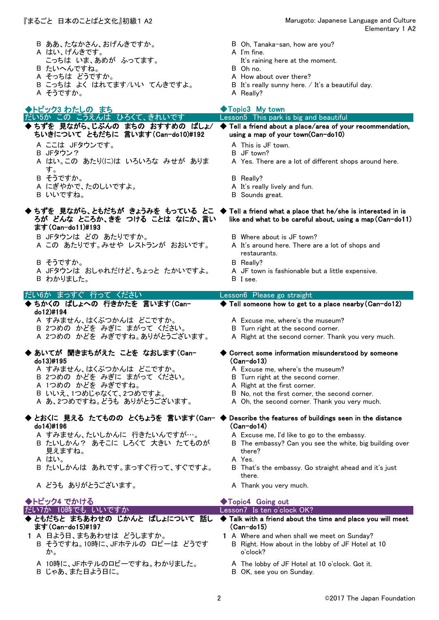こっちは いま、あめが ふってます。

B こっちは よく はれてます/いい てんきですよ。

- 『まるごと 日本のことばと文化』初級1 A2 Marugoto: Japanese Language and Culture Elementary 1 A2
	- B ああ、たなかさん、おげんきですか。 B Oh, Tanaka-san, how are you?
	- A はい、げんきです。<br>こっちは いま、あめが ふってます。 It's raining here at the moment.
		-
	- B たいへんですね。 B Oh no.
		- A How about over there?<br>B It's really sunny here. / It's a beautiful day.
	- A そうですか。 スペット インター・コール A Really?
		-

◆ ◆ ちずを 見ながら、じぶんの まちの おすすめの ばしょ/ A ここは JFタウンです。 A This is JF town.<br>B JFタウン? B JF town? B JFタウン? A はい。この あたり(に)は いろいろな みせが ありま す。 A Yes. There are a lot of different shops around here. B そうですか。 B Really? A にぎやかで、たのしいですよ。 <br>
A It's really lively and fun. B いいですね。 B Sounds great. ◆ ちずを 見ながら、ともだちが きょうみを もっている とこ ◆ B JFタウンは どの あたりですか。 <br>
B Where about is JF town? A この あたりです。みせや レストランが おおいです。 A It's around here. There are a lot of shops and restaurants. B そうですか。 インタン インタン B Really? A JFタウンは おしゃれだけど、ちょっと たかいですよ。 A JF town is fashionable but a little expensive. B わかりました。 B I see. ◆ ちかくの ぱしょへの 行きかたを 言います(Can- ◆ A すみません、はくぶつかんは どこですか。 A Excuse me, where's the museum? B 2つめの かどを みぎに まがって ください。 B Turn right at the second corner. A 2つめの かどを みぎですね。ありがとうございます。 A Right at the second corner. Thank you very much. ◆ あいてが 聞きまちがえた ことを なおします(Can- ◆ A すみません、はくぶつかんは どこですか。 A Excuse me, where's the museum? B 2つめの かどを みぎに まがって ください。 B Turn right at the second corner. A 1つめの かどを みぎですね。 インディング A Right at the first corner. B いいえ、1つめじゃなくて、2つめですよ。 B No, not the first corner, the second corner. A あ、2つめですね。どうも ありがとうございます。 A Oh, the second corner. Thank you very much. ◆ とおくに 見える たてものの とくちょうを 言います(Can- ◆ Describe the features of buildings seen in the distance A すみません、たいしかんに 行きたいんですが…。 A Excuse me, I'd like to go to the embassy. B たいしかん? あそこに しろくて 大きい たてものが 見えますね。 B The embassy? Can you see the white, big building over there? A はい。 A Yes. B たいしかんは あれです。まっすぐ行って、すぐですよ。 B That's the embassy. Go straight ahead and it's just there. A どうも ありがとうございます。 <br>
A Thank you very much. ◆ ともだちと まちあわせの じかんと ばしょについて 話し ◆ 1 A 日よう日、まちあわせは どうしますか。 1 A Where and when shall we meet on Sunday? B そうですね。10時に、JFホテルの ロビーは どうです B Right. How about in the lobby of JF Hotel at 10 ◆トピック3 わたしの まち Lesson5 This park is big and beautiful ◆Topic3 My town だい5か この こうえんは ひろくて、きれいです ちいきについて ともだちに 言います(Can-do10)#192 Tell a friend about a place/area of your recommendation, using a map of your town(Can-do10) do13)#195 ◆ Correct some information misunderstood by someone (Can-do13) do14)#196 (Can-do14) ◆トピック4 でかける ◆Topic4 Going out ろが どんな ところか、きを つける ことは なにか、言い ます(Can-do11)#193 Tell a friend what a place that he/she is interested in is like and what to be careful about, using a map(Can-do11) だい6か まっすぐ 行って ください Lesson6 Please go straight do12)#194 Tell someone how to get to a place nearby(Can-do12) だい7か 10時でも いいですか Lesson7 Is ten o'clock OK? ます(Can-do15)#197 Talk with a friend about the time and place you will meet (Can-do15)

- 
- 
- 
- 
- 
- か。
- A 10時に、JFホテルのロビーですね。わかりました。 A The lobby of JF Hotel at 10 o'clock. Got it.
- B じゃあ、また日よう日に。 B OK, see you on Sunday.
- o'clock?
	-
	-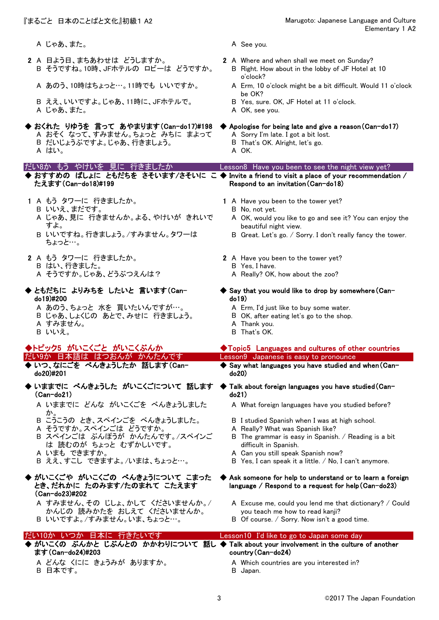- A じゃあ、また。 インタン A See you.
- 2 A 日よう日、まちあわせは どうしますか。 2 A Where and when shall we meet on Sunday? B そうですね。10時、JFホテルの ロビーは どうですか。 B Right. How about in the lobby of JF Hotel at 10
	-
	- B ええ、いいですよ。じゃあ、11時に、JFホテルで。 B Yes, sure. OK, JF Hotel at 11 o'clock. A じゃあ、また。
- ◆ おくれた りゆうを 言って あやまります(Can-do17)#198 ◆ Apologise for being late and give a reason(Can-do17) A おそく なって、すみません。ちょっと みちに まよって A Sorry I'm late. I got a bit lost. B だいじょうぶですよ。じゃあ、行きましょう。 B That's OK. Alright, let's go. A はい。 A OK.

たえます(Can-do18)#199

- - B いいえ、まだです。 B No, not yet.
	- A じゃあ、見に 行きませんか。よる、やけいが きれいで すよ。
	- B いいですね。行きましょう。/すみません。タワーは ちょっと…。
- 2 A もう タワーに 行きましたか。 <br>2 A Have you been to the tower yet? B はい、行きました。 B Yes, I have. A そうですか。じゃあ、どうぶつえんは? A Really? OK, how about the zoo?
- ◆ ともだちに よりみちを したいと 言います(Can- ◆ do19)#200
	- A あのう、ちょっと 水を 買いたいんですが…。 A Erm, I'd just like to buy some water.
	- B じゃあ、しょくじの あとで、みせに 行きましょう。 B OK, after eating let's go to the shop.
	- B いいえ。 B That's OK.

- ◆ ◆ いつ、なにごを べんきょうしたか 話します(Cando20)#201
- ◆ いままでに べんきょうした がいこくごについて 話します ◆ Talk about foreign languages you have studied(Can-(Can-do21)
	- A いままでに どんな がいこくごを べんきょうしました か。
	- B こうこうの とき、スペインごを べんきょうしました。 B I studied Spanish when I was at high school.
	- A そうですか。スペインごは どうですか。 <br>
	A Really? What was Spanish like?
	- B スペインごは ぶんぽうが かんたんです。/スペインご は 読むのが ちょっと むずかしいです。
	-
	-
- ◆ がいこくごの べんきょうについて こまった ◆ とき、だれかに たのみます/たのまれて こたえます (Can-do23)#202
	- A すみません、その じしょ、かして くださいませんか。/ かんじの 読みかたを おしえて くださいませんか。 B いいですよ。/すみません。いま、ちょっと…。 B Of course. / Sorry. Now isn't a good time.

- ます(Can-do24)#203
	- B 日本です。 B Japan.
- 
- 
- o'clock?
- A あのう、10時はちょっと…。11時でも いいですか。 A Erm, 10 o'clock might be a bit difficult. Would 11 o'clock be OK?<br>B Yes, sure. OK, JF Hotel at 11 o'clock.
	-
	-

- 
- 
- 

## だい8か もう やけいを 見に 行きましたか Lesson8 Have you been to see the night view yet?

◆ おすすめの ばしょに ともだちを さそいます/さそいに こ ◆ Invite a friend to visit a place of your recommendation / Respond to an invitation(Can-do18)

- 1 A もう タワーに 行きましたか。 <br>
1 A Have you been to the tower yet?
	-
	- A OK, would you like to go and see it? You can enjoy the beautiful night view.
	- B Great. Let's go. / Sorry. I don't really fancy the tower.
	-
	-
	-
	- $\blacklozenge$  Say that you would like to drop by somewhere(Cando19)
		-
		-
	- A すみません。 A Thank you.

## ◆トピック5 がいこくごと がいこくぶんか → → → → → Topic5 Languages and cultures of other countries

だい9か 日本語は はつおんが かんたんです Lesson9 Japanese is easy to pronounce

 $\blacklozenge$  Say what languages you have studied and when (Cando20)

# do21)

- A What foreign languages have you studied before?
- 
- 
- B The grammar is easy in Spanish. / Reading is a bit difficult in Spanish.
- A いまも できますか。 A Can you still speak Spanish now?
- B ええ、すこし できますよ。/いまは、ちょっと…。 B Yes, I can speak it a little. / No, I can't anymore.

## Ask someone for help to understand or to learn a foreign language / Respond to a request for help(Can-do23)

- A Excuse me, could you lend me that dictionary? / Could you teach me how to read kanji?
- 

## ◆ がいこくの ぶんかと じぶんとの かかわりについて 話し ◆ Talk about your involvement in the culture of another A どんな くにに きょうみが ありますか。 <br>
A Which countries are you interested in? だい10か いつか 日本に 行きたいです Lesson10 I'd like to go to Japan some day country(Can-do24)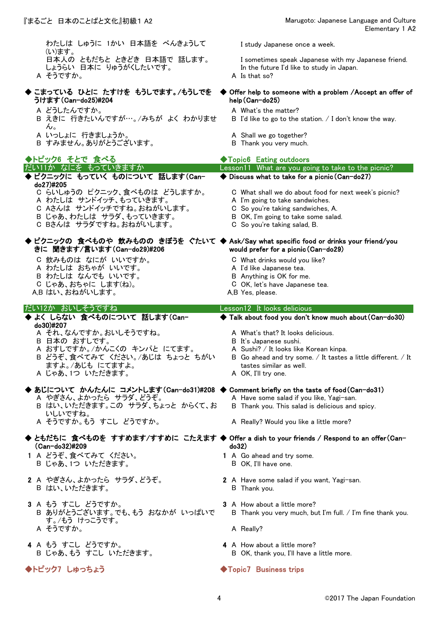わたしは しゅうに 1かい 日本語を べんきょうして (い)ます。<br>日本人の ともだちと ときどき 日本語で 話します。 しょうらい 日本に りゅうがくしたいです。 In the future I'd like to study in Japan. A そうですか。 A Is that so?

- 
- ◆ こまっている ひとに たすけを もうしでます。/もうしでを ◆ うけます(Can-do25)#204
	- A どうしたんですか。 <br>
	A What's the matter?
	- B えきに 行きたいんですが…。/みちが よく わかりませ ん。
	-
	- A いっしょに 行きましょうか。<br>B すみません。ありがとうございます。 B Thank you very much. B すみません。ありがとうございます。

## ◆トピック6 そとで 食べる ◆Topic6 Eating outdoors

# ◆ ピクニックに もっていく ものについて 話します(Can- ◆

- do27)#205
	-
	-
	-
	-
	-

# きに 聞きます/言います(Can-do29)#206

- 
- 
- 
- B わたしは なんでも いいです。 B Anything is OK for me. C じゃあ、おちゃに します(ね)。
- A,B はい、おねがいします。 <br>
A,B Yes, please.

# だい12か おいしそうですね Lesson12 It looks delicious

## ◆ よく しらない 食べものについて 話します(Can- ◆ do30)#207

- A それ、なんですか。おいしそうですね。 A What's that? It looks delicious.
- B 日本の おすしです。 B It's Japanese sushi.
- A おすしですか。/かんこくの キンパと にてます。 A Sushi? / It looks like Korean kinpa.
- B どうぞ、食べてみて ください。/あじは ちょっと ちがい ますよ。/あじも にてますよ。
- A じゃあ、1つ いただきます。 A OK, I'll try one.

## ◆ あじについて かんたんに コメントします(Can-do31)#208 ◆ Comment briefly on the taste of food(Can-do31) A やぎさん、よかったら サラダ、どうぞ。 <br>
A Have some salad if you like, Yagi-san.

- B はい、いただきます。この サラダ、ちょっと からくて、お いしいですね。
- 

## ◆ ともだちに 食べものを すすめます/すすめに こたえます ◆ Offer a dish to your friends / Respond to an offer(Can-(Can-do32)#209

- 1 A どうぞ、食べてみて ください。 1 A Go ahead and try some. B じゃあ、1つ いただきます。 B OK, I'll have one.
- B はい、いただきます。 B Thank you.

## 3 A もう すこし どうですか。 3 A How about a little more? B ありがとうございます。でも、もう おなかが いっぱいで す。/もう けっこうです。 A そうですか。 インタイム A Really?

4 A もう すこし どうですか。 4 A How about a little more?

I study Japanese once a week.

I sometimes speak Japanese with my Japanese friend.

## ◆ Offer help to someone with a problem /Accept an offer of help(Can-do25)

- 
- B I'd like to go to the station. / I don't know the way.
- 
- 

- C らいしゅうの ピクニック、食べものは どうしますか。 C What shall we do about food for next week's picnic? A わたしは サンドイッチ、もっていきます。 A I'm going to take sandwiches. C Aさんは サンドイッチですね。おねがいします。 C So you're taking sandwiches, A. B じゃあ、わたしは サラダ、もっていきます。 B OK, I'm going to take some salad. C Bさんは サラダですね。おねがいします。 C So you're taking salad, B. ◆ ピクニックの 食べものや 飲みものの きぼうを ぐたいて ◆ Ask/Say what specific food or drinks your friend/you C 飲みものは なにが いいですか。 C What drinks would you like? A わたしは おちゃが いいです。 <br>
A I'd like Japanese tea. だい11か なにを もっていきますか Lesson11 What are you going to take to the picnic? ◆ Discuss what to take for a picnic (Can-do27) would prefer for a picnic(Can-do29)
	-
	-
	-

Talk about food you don't know much about(Can-do30)

- 
- 
- 
- B Go ahead and try some. / It tastes a little different. / It tastes similar as well.
- 

- 
- B Thank you. This salad is delicious and spicy.
- A そうですか。もう すこし どうですか。 A Really? Would you like a little more?

# do32)

- 
- 2 A やぎさん、よかったら サラダ、どうぞ。 2 A Have some salad if you want, Yagi-san.
	- B Thank you very much, but I'm full. / I'm fine thank you.
		-
	- B じゃあ、もうすこし いただきます。 <br>B OK, thank you, I'll have a little more.

## ◆トピック7 しゅっちょう → → → → → Topic7 Business trips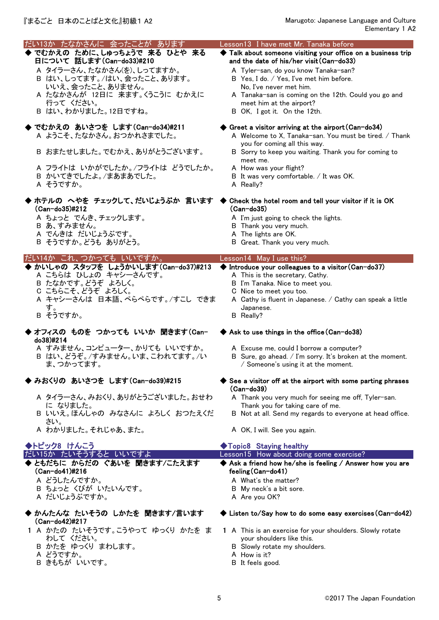| だい13か たなかさんに 会ったことが あります<br>◆ でむかえの ために、しゅっちょうで 来る ひとや 来る<br>日について 話します(Can-do33)#210<br>A タイラーさん、たなかさん(を)、しってますか。<br>B はい、しってます。/はい、会ったこと、あります。<br>いいえ、会ったこと、ありません。<br>A たなかさんが 12日に 来ます。くうこうに むかえに<br>行って ください。<br>B はい、わかりました。12日ですね。 | Lesson13 I have met Mr. Tanaka before<br>Talk about someone visiting your office on a business trip<br>and the date of his/her visit (Can-do33)<br>A Tyler-san, do you know Tanaka-san?<br>B Yes, I do. / Yes, I've met him before.<br>No, I've never met him.<br>A Tanaka-san is coming on the 12th. Could you go and<br>meet him at the airport?<br>B OK, I got it. On the 12th. |
|------------------------------------------------------------------------------------------------------------------------------------------------------------------------------------------------------------------------------------------|------------------------------------------------------------------------------------------------------------------------------------------------------------------------------------------------------------------------------------------------------------------------------------------------------------------------------------------------------------------------------------|
| ◆ でむかえの あいさつを します(Can-do34)#211<br>A ようこそ、たなかさん。おつかれさまでした。<br>B おまたせしました。でむかえ、ありがとうございます。<br>A フライトは いかがでしたか。/フライトは どうでしたか。<br>B かいてきでしたよ。/まあまあでした。<br>A そうですか。                                                                          | $\blacklozenge$ Greet a visitor arriving at the airport (Can-do34)<br>A Welcome to X, Tanaka-san. You must be tired. / Thank<br>you for coming all this way.<br>B Sorry to keep you waiting. Thank you for coming to<br>meet me.<br>A How was your flight?<br>B It was very comfortable. / It was OK.<br>A Really?                                                                 |
| ◆ ホテルの へやを チェックして、だいじょうぶか 言います<br>(Can-do35)#212<br>A ちょっと でんき、チェックします。<br>B あ、すみません。<br>A でんきは だいじょうぶです。<br>B そうですか。どうも ありがとう。                                                                                                          | ◆ Check the hotel room and tell your visitor if it is OK<br>$(Can-do35)$<br>A I'm just going to check the lights.<br>B Thank you very much.<br>A The lights are OK.<br>B Great. Thank you very much.                                                                                                                                                                               |
| だい14か これ、つかっても いいですか。                                                                                                                                                                                                                    | Lesson14 May I use this?                                                                                                                                                                                                                                                                                                                                                           |
| ◆ かいしゃの スタッフを しょうかいします(Can-do37)#213<br>A こちらは ひしょの キャシーさんです。<br>B たなかです。どうぞ よろしく。<br>C こちらこそ、どうぞ よろしく。<br>A キャシーさんは 日本語、ぺらぺらです。/すこし できま<br>す。<br>B そうですか。                                                                               | $\blacklozenge$ Introduce your colleagues to a visitor (Can-do37)<br>A This is the secretary, Cathy.<br>B I'm Tanaka. Nice to meet you.<br>C Nice to meet you too.<br>A Cathy is fluent in Japanese. / Cathy can speak a little<br>Japanese.<br>B Really?                                                                                                                          |
| ◆ オフィスの ものを つかっても いいか 聞きます(Can-<br>do38)#214<br>A すみません、コンピューター、かりても いいですか。<br>B はい、どうぞ。/すみません。いま、こわれてます。/い<br>ま、つかってます。                                                                                                                 | ◆ Ask to use things in the office (Can-do38)<br>A Excuse me, could I borrow a computer?<br>B Sure, go ahead. / I'm sorry. It's broken at the moment.<br>/ Someone's using it at the moment.                                                                                                                                                                                        |
| ◆ みおくりの あいさつを します(Can-do39)#215<br>A タイラーさん、みおくり、ありがとうございました。おせわ<br>に なりました。<br>B いいえ。ほんしゃの みなさんに よろしく おつたえくだ<br>さい。<br>A わかりました。それじゃあ、また。                                                                                               | $\blacktriangleright$ See a visitor off at the airport with some parting phrases<br>$(Can-do39)$<br>A Thank you very much for seeing me off, Tyler-san.<br>Thank you for taking care of me.<br>B Not at all. Send my regards to everyone at head office.<br>A OK, I will. See you again.                                                                                           |
| ◆トピック8 けんこう                                                                                                                                                                                                                              | ◆Topic8 Staying healthy                                                                                                                                                                                                                                                                                                                                                            |
|                                                                                                                                                                                                                                          |                                                                                                                                                                                                                                                                                                                                                                                    |
| だい15か たいそうすると いいですよ<br>◆ ともだちに からだの ぐあいを 聞きます/こたえます<br>(Can-do41)#216<br>A どうしたんですか。<br>B ちょっと くびが いたいんです。<br>A だいじょうぶですか。                                                                                                               | Lesson15 How about doing some exercise?<br>$\blacklozenge$ Ask a friend how he/she is feeling / Answer how you are<br>feeling (Can-do41)<br>A What's the matter?<br>B My neck's a bit sore.<br>A Are you OK?                                                                                                                                                                       |
| ◆ かんたんな たいそうの しかたを 聞きます/言います<br>(Can-do42)#217<br>1 A かたの たいそうです。こうやって ゆっくり かたを ま<br>わして ください。<br>B かたを ゆっくり まわします。<br>A どうですか。                                                                                                          | $\blacklozenge$ Listen to/Say how to do some easy exercises (Can-do42)<br>1 A This is an exercise for your shoulders. Slowly rotate<br>your shoulders like this.<br>B Slowly rotate my shoulders.<br>A How is it?                                                                                                                                                                  |

- B きもちが いいです。 <br>
B It feels good.
	- 5 ©2017 The Japan Foundation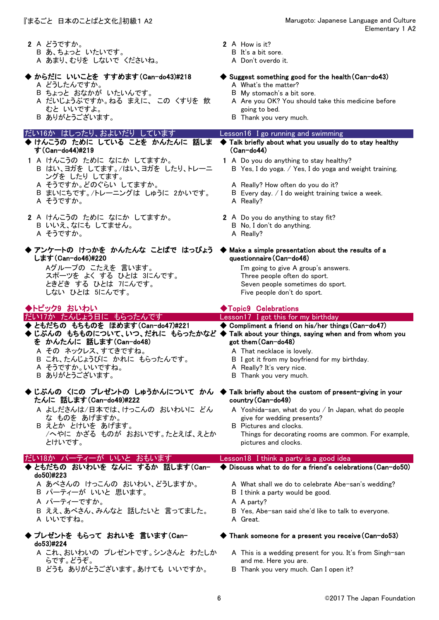|                                                                                                                                                                                                                                                        | Elementary 1 A2                                                                                                                                                                                                                                                                                                                                          |
|--------------------------------------------------------------------------------------------------------------------------------------------------------------------------------------------------------------------------------------------------------|----------------------------------------------------------------------------------------------------------------------------------------------------------------------------------------------------------------------------------------------------------------------------------------------------------------------------------------------------------|
| 2 A どうですか。<br>B あ、ちょっと いたいです。<br>A あまり、むりを しないで くださいね。<br>◆ からだに いいことを すすめます (Can-do43)#218<br>A どうしたんですか。<br>B ちょっと おなかが いたいんです。<br>A だいじょうぶですか。ねる まえに、 この くすりを 飲<br>むと いいですよ。<br>B ありがとうございます。                                                       | 2 A How is it?<br>B It's a bit sore.<br>A Don't overdo it.<br>$\blacklozenge$ Suggest something good for the health (Can-do43)<br>A What's the matter?<br>B My stomach's a bit sore.<br>A Are you OK? You should take this medicine before<br>going to bed.<br>B Thank you very much.                                                                    |
| だい16か はしったり、およいだり しています                                                                                                                                                                                                                                | Lesson16 I go running and swimming                                                                                                                                                                                                                                                                                                                       |
| ◆ けんこうの ために している ことを かんたんに 話しま<br>す (Can-do44)#219<br>1 A けんこうの ために なにか してますか。<br>B はい、ヨガを してます。/はい、ヨガを したり、トレーニ<br>ングを したり してます。<br>A そうですか。どのぐらい してますか。<br>B まいにちです。/トレーニングは しゅうに 2かいです。<br>A そうですか。<br>2 A けんこうの ために なにか してますか。<br>B いいえ、なにも してません。 | Talk briefly about what you usually do to stay healthy<br>$(Can-do44)$<br>1 A Do you do anything to stay healthy?<br>B Yes, I do yoga. / Yes, I do yoga and weight training.<br>A Really? How often do you do it?<br>B Every day. / I do weight training twice a week.<br>A Really?<br>2 A Do you do anything to stay fit?<br>B No, I don't do anything. |
| A そうですか。<br>◆ アンケートの けっかを かんたんな ことばで はっぴょう ◆ Make a simple presentation about the results of a<br>します (Can-do46)#220<br>Aグループの こたえを 言います。<br>スポーツを よく する ひとは 3にんです。<br>ときどき する ひとは フにんです。<br>しない ひとは 5にんです。                                            | A Really?<br>questionnaire (Can-do46)<br>I'm going to give A group's answers.<br>Three people often do sport.<br>Seven people sometimes do sport.<br>Five people don't do sport.                                                                                                                                                                         |
|                                                                                                                                                                                                                                                        |                                                                                                                                                                                                                                                                                                                                                          |
| ◆トピック9 おいわい                                                                                                                                                                                                                                            | ◆Topic9 Celebrations                                                                                                                                                                                                                                                                                                                                     |
| だい17か たんじょう日に もらったんです                                                                                                                                                                                                                                  | Lesson17 I got this for my birthday                                                                                                                                                                                                                                                                                                                      |
| ◆ ともだちの もちものを ほめます (Can-do47)#221<br>◆じぶんの もちものについて、いつ、だれに もらったかなど ◆ Talk about your things, saying when and from whom you<br>を かんたんに 話します(Can-do48)<br>A その ネックレス、すてきですね。<br>B これ、たんじょうびに かれに もらったんです。<br>A そうですか。いいですね。<br>B ありがとうございます。             | ◆ Compliment a friend on his/her things (Can-do47)<br>got them (Can-do48)<br>A That necklace is lovely.<br>B I got it from my boyfriend for my birthday.<br>A Really? It's very nice.<br>B Thank you very much.                                                                                                                                          |
| ◆ じぶんの くにの プレゼントの しゅうかんについて かん ◆ Talk briefly about the custom of present-giving in your<br>たんに 話します(Can-do49)#222                                                                                                                                     | country (Can-do49)                                                                                                                                                                                                                                                                                                                                       |
| A よしださんは/日本では、けっこんの おいわいに どん<br>な ものを あげますか。<br>B えとか とけいを あげます。<br>/へやに かざる ものが おおいです。たとえば、えとか<br>とけいです。                                                                                                                                              | A Yoshida-san, what do you / In Japan, what do people<br>give for wedding presents?<br>B Pictures and clocks.<br>Things for decorating rooms are common. For example,<br>pictures and clocks.                                                                                                                                                            |
| だい18か パーティーが いいと おもいます                                                                                                                                                                                                                                 | Lesson18 I think a party is a good idea                                                                                                                                                                                                                                                                                                                  |
| ♦ ともだちの おいわいを なんに するか 話します(Can-                                                                                                                                                                                                                        | ♦ Discuss what to do for a friend's celebrations (Can-do50)                                                                                                                                                                                                                                                                                              |
| do50)#223<br>A あべさんの けっこんの おいわい、どうしますか。<br>B パーティーが いいと 思います。<br>A パーティーですか。<br>B ええ、あべさん、みんなと 話したいと 言ってました。<br>A いいですね。                                                                                                                               | A What shall we do to celebrate Abe-san's wedding?<br>B I think a party would be good.<br>A A party?<br>B Yes, Abe-san said she'd like to talk to everyone.<br>A Great.                                                                                                                                                                                  |
| ◆ プレゼントを もらって おれいを 言います(Can-<br>do53)#224                                                                                                                                                                                                              | $\blacklozenge$ Thank someone for a present you receive (Can-do53)                                                                                                                                                                                                                                                                                       |